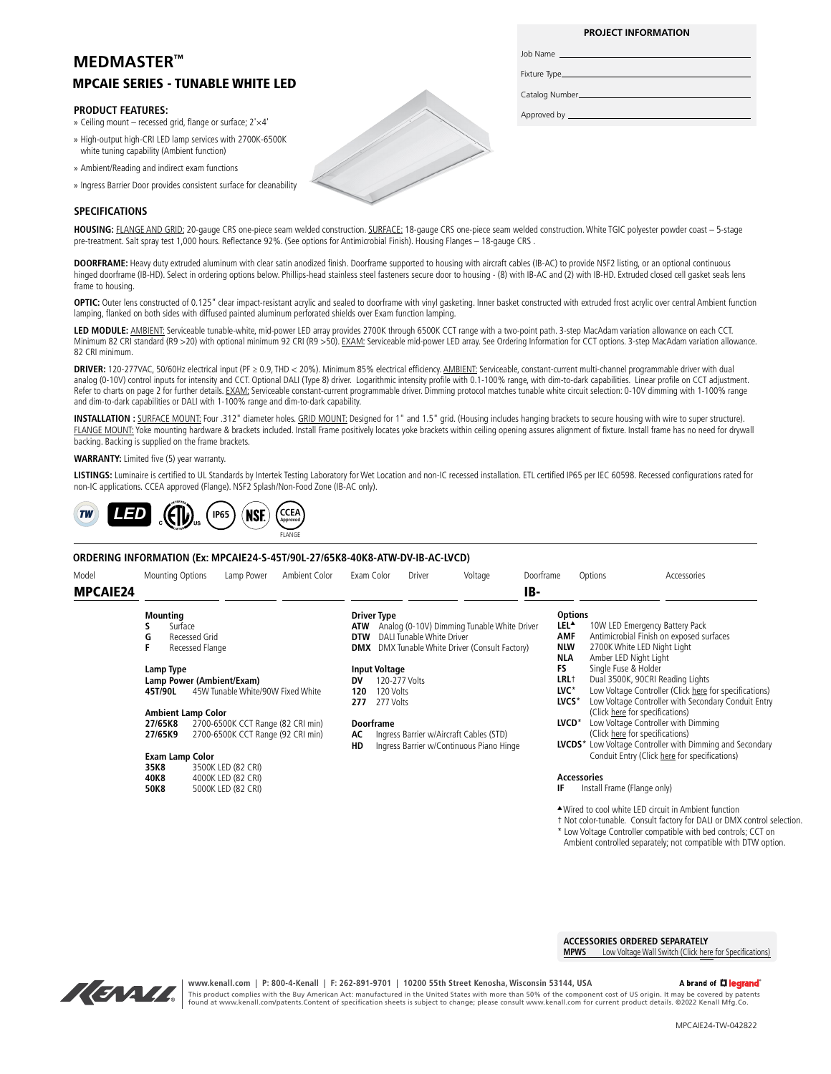# **MEDMASTER™**

## MPCAIE SERIES - TUNABLE WHITE LED

#### **PRODUCT FEATURES:**

- » Ceiling mount recessed grid, flange or surface; 2'×4'
- » High-output high-CRI LED lamp services with 2700K-6500K white tuning capability (Ambient function)
- » Ambient/Reading and indirect exam functions
- » Ingress Barrier Door provides consistent surface for cleanability

## **SPECIFICATIONS**

**HOUSING:** FLANGE AND GRID: 20-gauge CRS one-piece seam welded construction. SURFACE: 18-gauge CRS one-piece seam welded construction. White TGIC polyester powder coast – 5-stage pre-treatment. Salt spray test 1,000 hours. Reflectance 92%. (See options for Antimicrobial Finish). Housing Flanges – 18-gauge CRS.

**DOORFRAME:** Heavy duty extruded aluminum with clear satin anodized finish. Doorframe supported to housing with aircraft cables (IB-AC) to provide NSF2 listing, or an optional continuous hinged doorframe (IB-HD). Select in ordering options below. Phillips-head stainless steel fasteners secure door to housing - (8) with IB-AC and (2) with IB-HD. Extruded closed cell gasket seals lens frame to housing.

**OPTIC:** Outer lens constructed of 0.125" clear impact-resistant acrylic and sealed to doorframe with vinyl gasketing. Inner basket constructed with extruded frost acrylic over central Ambient function lamping, flanked on both sides with diffused painted aluminum perforated shields over Exam function lamping.

LED MODULE: AMBIENT: Serviceable tunable-white, mid-power LED array provides 2700K through 6500K CCT range with a two-point path. 3-step MacAdam variation allowance on each CCT. Minimum 82 CRI standard (R9 >20) with optional minimum 92 CRI (R9 >50). EXAM: Serviceable mid-power LED array. See Ordering Information for CCT options. 3-step MacAdam variation allowance. 82 CRI minimum.

**DRIVER:** 120-277VAC, 50/60Hz electrical input (PF ≥ 0.9, THD < 20%). Minimum 85% electrical efficiency. AMBIENT: Serviceable, constant-current multi-channel programmable driver with dual analog (0-10V) control inputs for intensity and CCT. Optional DALI (Type 8) driver. Logarithmic intensity profile with 0.1-100% range, with dim-to-dark capabilities. Linear profile on CCT adjustment. Refer to charts on page 2 for further details. EXAM: Serviceable constant-current programmable driver. Dimming protocol matches tunable white circuit selection: 0-10V dimming with 1-100% range and dim-to-dark capabilities or DALI with 1-100% range and dim-to-dark capability.

**INSTALLATION :** SURFACE MOUNT: Four .312" diameter holes. GRID MOUNT: Designed for 1" and 1.5" grid. (Housing includes hanging brackets to secure housing with wire to super structure). FLANGE MOUNT: Yoke mounting hardware & brackets included. Install Frame positively locates yoke brackets within ceiling opening assures alignment of fixture. Install frame has no need for drywall backing. Backing is supplied on the frame brackets.

#### **WARRANTY:** Limited five (5) year warranty.

LISTINGS: Luminaire is certified to UL Standards by Intertek Testing Laboratory for Wet Location and non-IC recessed installation. ETL certified IP65 per IEC 60598. Recessed configurations rated for non-IC applications. CCEA approved (Flange). NSF2 Splash/Non-Food Zone (IB-AC only).



## **ORDERING INFORMATION (Ex: MPCAIE24-S-45T/90L-27/65K8-40K8-ATW-DV-IB-AC-LVCD)**

| <b>Mounting Options</b>                                              | Lamp Power                                                                                                                               | Ambient Color | Exam Color                                           |                                                                 | <b>Driver</b>                           | Voltage                                                                                              | Doorframe                                                                                                                   | Options                                                                                                                                                                                                                           | Accessories                                                                                                      |
|----------------------------------------------------------------------|------------------------------------------------------------------------------------------------------------------------------------------|---------------|------------------------------------------------------|-----------------------------------------------------------------|-----------------------------------------|------------------------------------------------------------------------------------------------------|-----------------------------------------------------------------------------------------------------------------------------|-----------------------------------------------------------------------------------------------------------------------------------------------------------------------------------------------------------------------------------|------------------------------------------------------------------------------------------------------------------|
| <b>MPCAIE24</b>                                                      |                                                                                                                                          |               |                                                      |                                                                 |                                         |                                                                                                      | IB-                                                                                                                         |                                                                                                                                                                                                                                   |                                                                                                                  |
| Mounting<br>Surface<br>G<br>F<br>Lamp Type<br>45T/90L                | Recessed Grid<br>Recessed Flange<br>Lamp Power (Ambient/Exam)<br>45W Tunable White/90W Fixed White<br><b>Ambient Lamp Color</b>          |               | <b>Driver Type</b><br>ATW<br>DTW<br>DV<br>120<br>277 | <b>Input Voltage</b><br>120-277 Volts<br>120 Volts<br>277 Volts | DALI Tunable White Driver               | Analog (0-10V) Dimming Tunable White Driver<br><b>DMX</b> DMX Tunable White Driver (Consult Factory) | <b>Options</b><br>LEL <sup>4</sup><br><b>AMF</b><br><b>NLW</b><br><b>NLA</b><br>FS.<br>LRL†<br>$LVC^*$<br>LVCS <sup>*</sup> | 10W LED Emergency Battery Pack<br>Antimicrobial Finish on exposed surfaces<br>2700K White LED Night Light<br>Amber LED Night Light<br>Single Fuse & Holder<br>Dual 3500K, 90CRI Reading Lights<br>(Click here for specifications) | Low Voltage Controller (Click here for specifications)<br>Low Voltage Controller with Secondary Conduit Entry    |
| 27/65K8<br>27/65K9<br><b>Exam Lamp Color</b><br>35K8<br>40K8<br>50K8 | 2700-6500K CCT Range (82 CRI min)<br>2700-6500K CCT Range (92 CRI min)<br>3500K LED (82 CRI)<br>4000K LED (82 CRI)<br>5000K LED (82 CRI) |               | <b>Doorframe</b><br>AC<br>HD                         |                                                                 | Ingress Barrier w/Aircraft Cables (STD) | Ingress Barrier w/Continuous Piano Hinge                                                             | $LVCD^*$<br>IF                                                                                                              | Low Voltage Controller with Dimming<br>(Click here for specifications)<br>Accessories<br>Install Frame (Flange only)                                                                                                              | <b>LVCDS*</b> Low Voltage Controller with Dimming and Secondary<br>Conduit Entry (Click here for specifications) |

**ACCESSORIES ORDERED SEPARATELY** 

**MPWS** Low Voltage Wall Switch (Click [here](https://kenall.com/Kenall-Files/Product-Files/SpecificationSheets/MPWS.pdf) for Specifications)

† Not color-tunable. Consult factory for DALI or DMX control selection. \* Low Voltage Controller compatible with bed controls; CCT on Ambient controlled separately; not compatible with DTW option.

KENNIK.

#### **www.kenall.com | P: 800-4-Kenall | F: 262-891-9701 | 10200 55th Street Kenosha, Wisconsin 53144, USA**

This product complies with the Buy American Act: manufactured in the United States with more than 50% of the component cost of US origin. It may be covered by patents<br>found at www.kenall.com/patents.Content of specificatio

# A brand of Lilegrand®

Job Name Fixture Type

Catalog Number

Approved by

**PROJECT INFORMATION**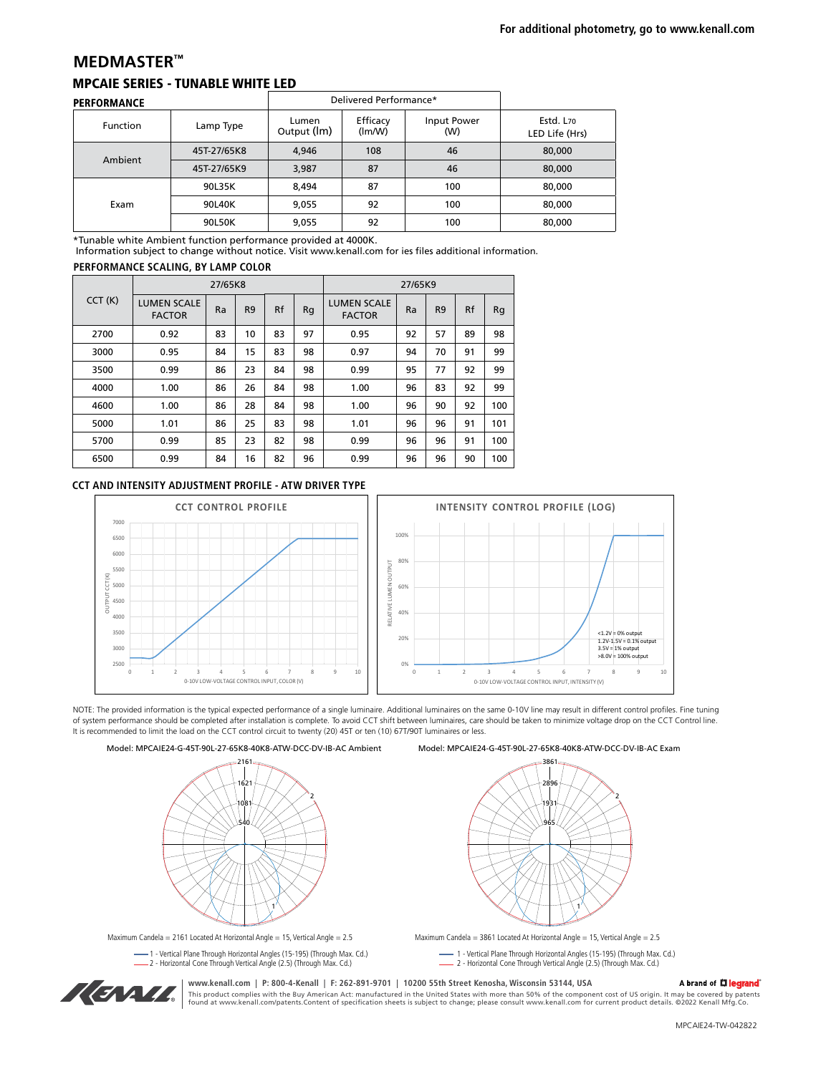# **MEDMASTER™**

# MPCAIE SERIES - TUNABLE WHITE LED

| <b>PERFORMANCE</b> |             | Delivered Performance* |                    |                    |                                         |
|--------------------|-------------|------------------------|--------------------|--------------------|-----------------------------------------|
| <b>Function</b>    | Lamp Type   | Lumen<br>Output (Im)   | Efficacy<br>(lm/W) | Input Power<br>(W) | Estd. L <sub>70</sub><br>LED Life (Hrs) |
| Ambient            | 45T-27/65K8 | 4,946                  | 108                | 46                 | 80,000                                  |
|                    | 45T-27/65K9 | 3,987                  | 87                 | 46                 | 80,000                                  |
|                    | 90L35K      | 8,494                  | 87                 | 100                | 80,000                                  |
| Exam               | 90L40K      | 9,055                  | 92                 | 100                | 80,000                                  |
|                    | 90L50K      | 9,055                  | 92                 | 100                | 80,000                                  |

\*Tunable white Ambient function performance provided at 4000K.

Information subject to change without notice. Visit www.kenall.com for ies files additional information.

## **PERFORMANCE SCALING, BY LAMP COLOR**

| CCT(K) |                                     | 27/65K8 |                |    | 27/65K9 |                                     |    |                |    |     |
|--------|-------------------------------------|---------|----------------|----|---------|-------------------------------------|----|----------------|----|-----|
|        | <b>LUMEN SCALE</b><br><b>FACTOR</b> | Ra      | R <sub>9</sub> | Rf | Rq      | <b>LUMEN SCALE</b><br><b>FACTOR</b> | Ra | R <sub>9</sub> | Rf | Rg  |
| 2700   | 0.92                                | 83      | 10             | 83 | 97      | 0.95                                | 92 | 57             | 89 | 98  |
| 3000   | 0.95                                | 84      | 15             | 83 | 98      | 0.97                                | 94 | 70             | 91 | 99  |
| 3500   | 0.99                                | 86      | 23             | 84 | 98      | 0.99                                | 95 | 77             | 92 | 99  |
| 4000   | 1.00                                | 86      | 26             | 84 | 98      | 1.00                                | 96 | 83             | 92 | 99  |
| 4600   | 1.00                                | 86      | 28             | 84 | 98      | 1.00                                | 96 | 90             | 92 | 100 |
| 5000   | 1.01                                | 86      | 25             | 83 | 98      | 1.01                                | 96 | 96             | 91 | 101 |
| 5700   | 0.99                                | 85      | 23             | 82 | 98      | 0.99                                | 96 | 96             | 91 | 100 |
| 6500   | 0.99                                | 84      | 16             | 82 | 96      | 0.99                                | 96 | 96             | 90 | 100 |

## **CCT AND INTENSITY ADJUSTMENT PROFILE - ATW DRIVER TYPE**



NOTE: The provided information is the typical expected performance of a single luminaire. Additional luminaires on the same 0-10V line may result in different control profiles. Fine tuning of system performance should be completed after installation is complete. To avoid CCT shift between luminaires, care should be taken to minimize voltage drop on the CCT Control line. It is recommended to limit the load on the CCT control circuit to twenty (20) 45T or ten (10) 67T/90T luminaires or less.





Maximum Candela = 2161 Located At Horizontal Angle = 15, Vertical Angle = 2.5

1 - Vertical Plane Through Horizontal Angles (15-195) (Through Max. Cd.) 2 - Horizontal Cone Through Vertical Angle (2.5) (Through Max. Cd.)



## **www.kenall.com | P: 800-4-Kenall | F: 262-891-9701 | 10200 55th Street Kenosha, Wisconsin 53144, USA**

#### A brand of Lilegrand®

This product complies with the Buy American Act: manufactured in the United States with more than 50% of the component cost of US origin. It may be covered by patents<br>found at www.kenall.com/patents.Content of specificatio

3861 2896 1931

965

Maximum Candela = 3861 Located At Horizontal Angle = 15, Vertical Angle = 2.5

1

1 - Vertical Plane Through Horizontal Angles (15-195) (Through Max. Cd.) 2 - Horizontal Cone Through Vertical Angle (2.5) (Through Max. Cd.)

2